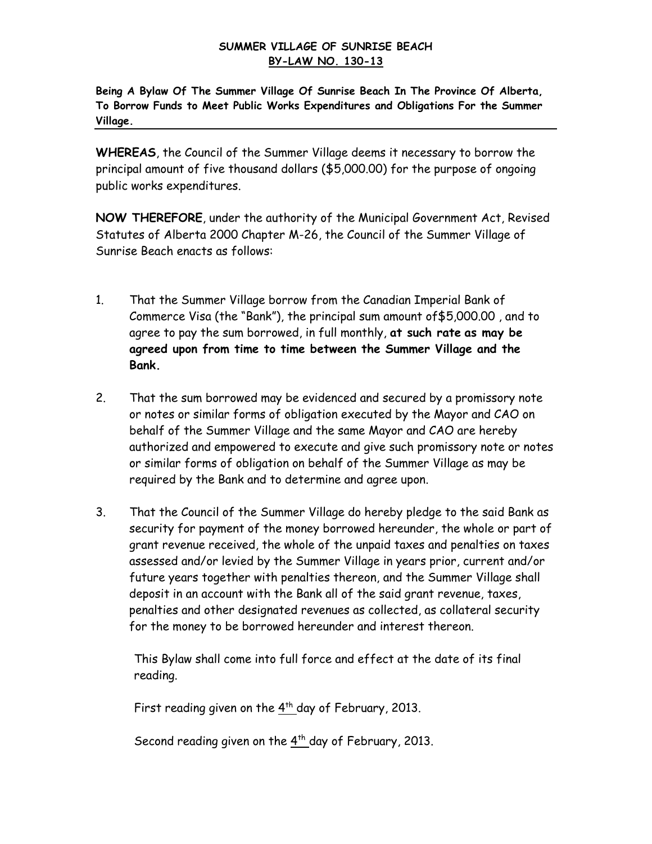## **SUMMER VILLAGE OF SUNRISE BEACH BY-LAW NO. 130-13**

**Being A Bylaw Of The Summer Village Of Sunrise Beach In The Province Of Alberta, To Borrow Funds to Meet Public Works Expenditures and Obligations For the Summer Village.**

**WHEREAS**, the Council of the Summer Village deems it necessary to borrow the principal amount of five thousand dollars (\$5,000.00) for the purpose of ongoing public works expenditures.

**NOW THEREFORE**, under the authority of the Municipal Government Act, Revised Statutes of Alberta 2000 Chapter M-26, the Council of the Summer Village of Sunrise Beach enacts as follows:

- 1. That the Summer Village borrow from the Canadian Imperial Bank of Commerce Visa (the "Bank"), the principal sum amount of\$5,000.00 , and to agree to pay the sum borrowed, in full monthly, **at such rate as may be agreed upon from time to time between the Summer Village and the Bank.**
- 2. That the sum borrowed may be evidenced and secured by a promissory note or notes or similar forms of obligation executed by the Mayor and CAO on behalf of the Summer Village and the same Mayor and CAO are hereby authorized and empowered to execute and give such promissory note or notes or similar forms of obligation on behalf of the Summer Village as may be required by the Bank and to determine and agree upon.
- 3. That the Council of the Summer Village do hereby pledge to the said Bank as security for payment of the money borrowed hereunder, the whole or part of grant revenue received, the whole of the unpaid taxes and penalties on taxes assessed and/or levied by the Summer Village in years prior, current and/or future years together with penalties thereon, and the Summer Village shall deposit in an account with the Bank all of the said grant revenue, taxes, penalties and other designated revenues as collected, as collateral security for the money to be borrowed hereunder and interest thereon.

This Bylaw shall come into full force and effect at the date of its final reading.

First reading given on the  $4^{th}$  day of February, 2013.

Second reading given on the  $4<sup>th</sup>$  day of February, 2013.